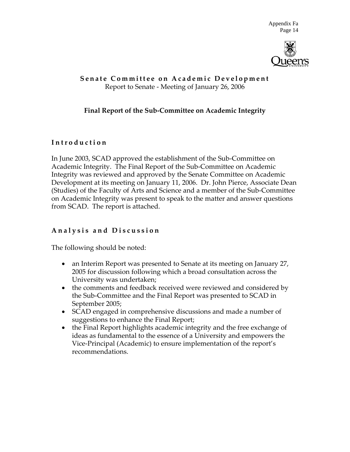

## **Senate Committee o n Academic Development** Report to Senate ‐ Meeting of January 26, 2006

## **Final Report of the Sub‐Committee on Academic Integrity**

## **Introduction**

In June 2003, SCAD approved the establishment of the Sub‐Committee on Academic Integrity. The Final Report of the Sub‐Committee on Academic Integrity was reviewed and approved by the Senate Committee on Academic Development at its meeting on January 11, 2006. Dr. John Pierce, Associate Dean (Studies) of the Faculty of Arts and Science and a member of the Sub‐Committee on Academic Integrity was present to speak to the matter and answer questions from SCAD. The report is attached.

# **Analysis and Discussion**

The following should be noted:

- an Interim Report was presented to Senate at its meeting on January 27, 2005 for discussion following which a broad consultation across the University was undertaken;
- the comments and feedback received were reviewed and considered by the Sub‐Committee and the Final Report was presented to SCAD in September 2005;
- SCAD engaged in comprehensive discussions and made a number of suggestions to enhance the Final Report;
- the Final Report highlights academic integrity and the free exchange of ideas as fundamental to the essence of a University and empowers the Vice‐Principal (Academic) to ensure implementation of the report's recommendations.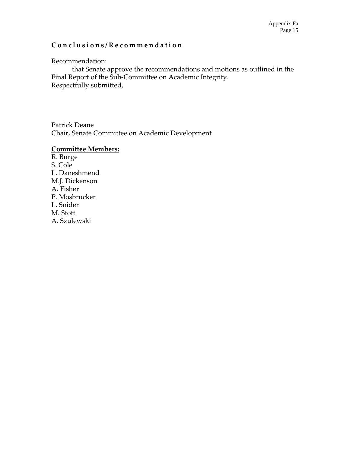## **Conclusions/Recommendation**

Recommendation:

that Senate approve the recommendations and motions as outlined in the Final Report of the Sub-Committee on Academic Integrity. Respectfully submitted,

Patrick Deane Chair, Senate Committee on Academic Development

### **Committee Members:**

R. Burge S. Cole L. Daneshmend M.J. Dickenson A. Fisher P. Mosbrucker L. Snider M. Stott A. Szulewski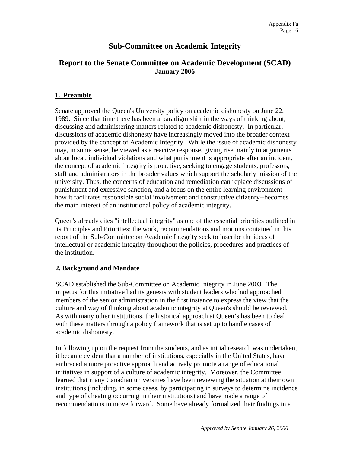# **Sub-Committee on Academic Integrity**

## **Report to the Senate Committee on Academic Development (SCAD) January 2006**

### **1. Preamble**

Senate approved the Queen's University policy on academic dishonesty on June 22, 1989. Since that time there has been a paradigm shift in the ways of thinking about, discussing and administering matters related to academic dishonesty. In particular, discussions of academic dishonesty have increasingly moved into the broader context provided by the concept of Academic Integrity. While the issue of academic dishonesty may, in some sense, be viewed as a reactive response, giving rise mainly to arguments about local, individual violations and what punishment is appropriate after an incident, the concept of academic integrity is proactive, seeking to engage students, professors, staff and administrators in the broader values which support the scholarly mission of the university. Thus, the concerns of education and remediation can replace discussions of punishment and excessive sanction, and a focus on the entire learning environment- how it facilitates responsible social involvement and constructive citizenry--becomes the main interest of an institutional policy of academic integrity.

Queen's already cites "intellectual integrity" as one of the essential priorities outlined in its Principles and Priorities; the work, recommendations and motions contained in this report of the Sub-Committee on Academic Integrity seek to inscribe the ideas of intellectual or academic integrity throughout the policies, procedures and practices of the institution.

#### **2. Background and Mandate**

 SCAD established the Sub-Committee on Academic Integrity in June 2003. The impetus for this initiative had its genesis with student leaders who had approached members of the senior administration in the first instance to express the view that the culture and way of thinking about academic integrity at Queen's should be reviewed. As with many other institutions, the historical approach at Queen's has been to deal with these matters through a policy framework that is set up to handle cases of academic dishonesty.

 In following up on the request from the students, and as initial research was undertaken, it became evident that a number of institutions, especially in the United States, have embraced a more proactive approach and actively promote a range of educational initiatives in support of a culture of academic integrity. Moreover, the Committee learned that many Canadian universities have been reviewing the situation at their own institutions (including, in some cases, by participating in surveys to determine incidence and type of cheating occurring in their institutions) and have made a range of recommendations to move forward. Some have already formalized their findings in a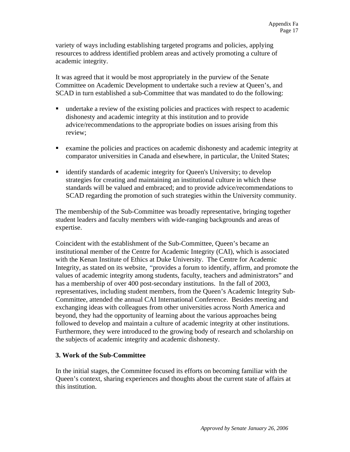variety of ways including establishing targeted programs and policies, applying resources to address identified problem areas and actively promoting a culture of academic integrity.

It was agreed that it would be most appropriately in the purview of the Senate Committee on Academic Development to undertake such a review at Queen's, and SCAD in turn established a sub-Committee that was mandated to do the following:

- undertake a review of the existing policies and practices with respect to academic dishonesty and academic integrity at this institution and to provide advice/recommendations to the appropriate bodies on issues arising from this review;
- examine the policies and practices on academic dishonesty and academic integrity at comparator universities in Canada and elsewhere, in particular, the United States;
- **identify standards of academic integrity for Queen's University; to develop** strategies for creating and maintaining an institutional culture in which these standards will be valued and embraced; and to provide advice/recommendations to SCAD regarding the promotion of such strategies within the University community.

The membership of the Sub-Committee was broadly representative, bringing together student leaders and faculty members with wide-ranging backgrounds and areas of expertise.

 Coincident with the establishment of the Sub-Committee, Queen's became an institutional member of the Centre for Academic Integrity (CAI), which is associated with the Kenan Institute of Ethics at Duke University. The Centre for Academic Integrity, as stated on its website, "provides a forum to identify, affirm, and promote the values of academic integrity among students, faculty, teachers and administrators" and has a membership of over 400 post-secondary institutions. In the fall of 2003, representatives, including student members, from the Queen's Academic Integrity Sub-Committee, attended the annual CAI International Conference. Besides meeting and exchanging ideas with colleagues from other universities across North America and beyond, they had the opportunity of learning about the various approaches being followed to develop and maintain a culture of academic integrity at other institutions. Furthermore, they were introduced to the growing body of research and scholarship on the subjects of academic integrity and academic dishonesty.

### **3. Work of the Sub-Committee**

In the initial stages, the Committee focused its efforts on becoming familiar with the Queen's context, sharing experiences and thoughts about the current state of affairs at this institution.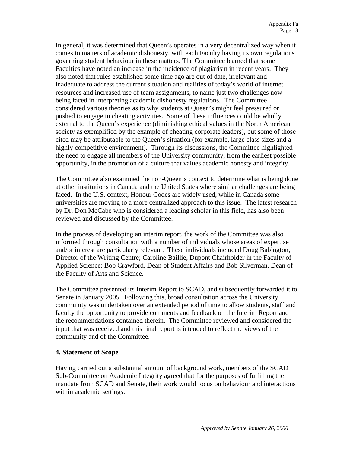In general, it was determined that Queen's operates in a very decentralized way when it comes to matters of academic dishonesty, with each Faculty having its own regulations governing student behaviour in these matters. The Committee learned that some Faculties have noted an increase in the incidence of plagiarism in recent years. They also noted that rules established some time ago are out of date, irrelevant and inadequate to address the current situation and realities of today's world of internet resources and increased use of team assignments, to name just two challenges now being faced in interpreting academic dishonesty regulations. The Committee considered various theories as to why students at Queen's might feel pressured or pushed to engage in cheating activities. Some of these influences could be wholly external to the Queen's experience (diminishing ethical values in the North American society as exemplified by the example of cheating corporate leaders), but some of those cited may be attributable to the Queen's situation (for example, large class sizes and a highly competitive environment). Through its discussions, the Committee highlighted the need to engage all members of the University community, from the earliest possible opportunity, in the promotion of a culture that values academic honesty and integrity.

The Committee also examined the non-Queen's context to determine what is being done at other institutions in Canada and the United States where similar challenges are being faced. In the U.S. context, Honour Codes are widely used, while in Canada some universities are moving to a more centralized approach to this issue. The latest research by Dr. Don McCabe who is considered a leading scholar in this field, has also been reviewed and discussed by the Committee.

In the process of developing an interim report, the work of the Committee was also informed through consultation with a number of individuals whose areas of expertise and/or interest are particularly relevant. These individuals included Doug Babington, Director of the Writing Centre; Caroline Baillie, Dupont Chairholder in the Faculty of Applied Science; Bob Crawford, Dean of Student Affairs and Bob Silverman, Dean of the Faculty of Arts and Science.

The Committee presented its Interim Report to SCAD, and subsequently forwarded it to Senate in January 2005. Following this, broad consultation across the University community was undertaken over an extended period of time to allow students, staff and faculty the opportunity to provide comments and feedback on the Interim Report and the recommendations contained therein. The Committee reviewed and considered the input that was received and this final report is intended to reflect the views of the community and of the Committee.

#### **4. Statement of Scope**

Having carried out a substantial amount of background work, members of the SCAD Sub-Committee on Academic Integrity agreed that for the purposes of fulfilling the mandate from SCAD and Senate, their work would focus on behaviour and interactions within academic settings.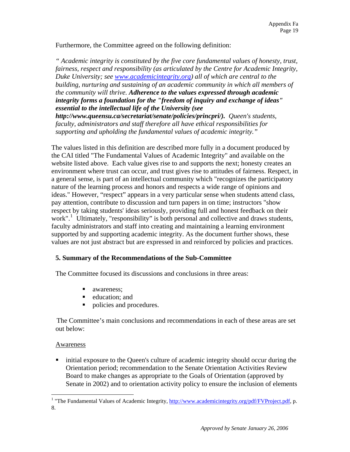Furthermore, the Committee agreed on the following definition:

*" Academic integrity is constituted by the five core fundamental values of honesty, trust, fairness, respect and responsibility (as articulated by the Centre for Academic Integrity, Duke University; see [www.academicintegrity.org](http://www.academicintegrity.org/)) all of which are central to the building, nurturing and sustaining of an academic community in which all members of the community will thrive. Adherence to the values expressed through academic integrity forms a foundation for the "freedom of inquiry and exchange of ideas" essential to the intellectual life of the University (see* 

*http://www.queensu.ca/secretariat/senate/policies/princpri/). Queen's students, faculty, administrators and staff therefore all have ethical responsibilities for supporting and upholding the fundamental values of academic integrity."*

The values listed in this definition are described more fully in a document produced by the CAI titled "The Fundamental Values of Academic Integrity" and available on the website listed above. Each value gives rise to and supports the next; honesty creates an environment where trust can occur, and trust gives rise to attitudes of fairness. Respect, in a general sense, is part of an intellectual community which "recognizes the participatory nature of the learning process and honors and respects a wide range of opinions and ideas." However, "respect" appears in a very particular sense when students attend class, pay attention, contribute to discussion and turn papers in on time; instructors "show respect by taking students' ideas seriously, providing full and honest feedback on their work".<sup>[1](#page-5-0)</sup> Ultimately, "responsibility" is both personal and collective and draws students, faculty administrators and staff into creating and maintaining a learning environment supported by and supporting academic integrity. As the document further shows, these values are not just abstract but are expressed in and reinforced by policies and practices.

### **5. Summary of the Recommendations of the Sub-Committee**

The Committee focused its discussions and conclusions in three areas:

- ullet awareness:
- **e** education; and
- policies and procedures.

The Committee's main conclusions and recommendations in each of these areas are set out below:

#### Awareness

 $\overline{a}$ 

 initial exposure to the Queen's culture of academic integrity should occur during the Orientation period; recommendation to the Senate Orientation Activities Review Board to make changes as appropriate to the Goals of Orientation (approved by Senate in 2002) and to orientation activity policy to ensure the inclusion of elements

<span id="page-5-0"></span><sup>&</sup>lt;sup>1</sup> "The Fundamental Values of Academic Integrity,<http://www.academicintegrity.org/pdf/FVProject.pdf>, p. 8.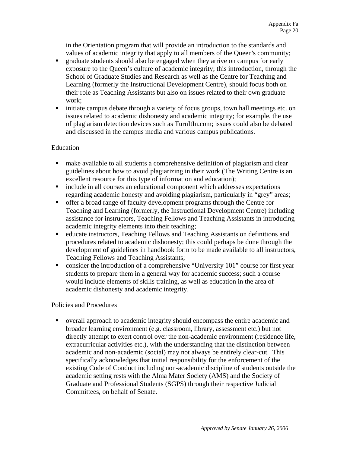in the Orientation program that will provide an introduction to the standards and values of academic integrity that apply to all members of the Queen's community;

- graduate students should also be engaged when they arrive on campus for early exposure to the Queen's culture of academic integrity; this introduction, through the School of Graduate Studies and Research as well as the Centre for Teaching and Learning (formerly the Instructional Development Centre), should focus both on their role as Teaching Assistants but also on issues related to their own graduate work;
- initiate campus debate through a variety of focus groups, town hall meetings etc. on issues related to academic dishonesty and academic integrity; for example, the use of plagiarism detection devices such as TurnItIn.com; issues could also be debated and discussed in the campus media and various campus publications.

### Education

- make available to all students a comprehensive definition of plagiarism and clear guidelines about how to avoid plagiarizing in their work (The Writing Centre is an excellent resource for this type of information and education);
- include in all courses an educational component which addresses expectations regarding academic honesty and avoiding plagiarism, particularly in "grey" areas;
- offer a broad range of faculty development programs through the Centre for Teaching and Learning (formerly, the Instructional Development Centre) including assistance for instructors, Teaching Fellows and Teaching Assistants in introducing academic integrity elements into their teaching;
- educate instructors, Teaching Fellows and Teaching Assistants on definitions and procedures related to academic dishonesty; this could perhaps be done through the development of guidelines in handbook form to be made available to all instructors, Teaching Fellows and Teaching Assistants;
- consider the introduction of a comprehensive "University 101" course for first year students to prepare them in a general way for academic success; such a course would include elements of skills training, as well as education in the area of academic dishonesty and academic integrity.

### Policies and Procedures

 overall approach to academic integrity should encompass the entire academic and broader learning environment (e.g. classroom, library, assessment etc.) but not directly attempt to exert control over the non-academic environment (residence life, extracurricular activities etc.), with the understanding that the distinction between academic and non-academic (social) may not always be entirely clear-cut. This specifically acknowledges that initial responsibility for the enforcement of the existing Code of Conduct including non-academic discipline of students outside the academic setting rests with the Alma Mater Society (AMS) and the Society of Graduate and Professional Students (SGPS) through their respective Judicial Committees, on behalf of Senate.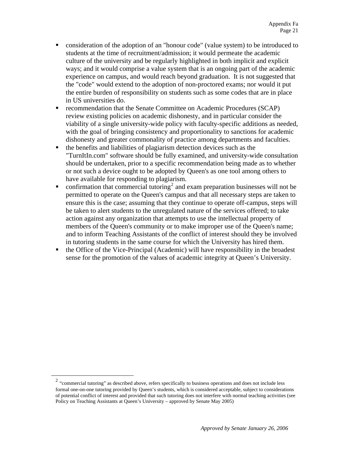- consideration of the adoption of an "honour code" (value system) to be introduced to students at the time of recruitment/admission; it would permeate the academic culture of the university and be regularly highlighted in both implicit and explicit ways; and it would comprise a value system that is an ongoing part of the academic experience on campus, and would reach beyond graduation. It is not suggested that the "code" would extend to the adoption of non-proctored exams; nor would it put the entire burden of responsibility on students such as some codes that are in place in US universities do.
- recommendation that the Senate Committee on Academic Procedures (SCAP) review existing policies on academic dishonesty, and in particular consider the viability of a single university-wide policy with faculty-specific additions as needed, with the goal of bringing consistency and proportionality to sanctions for academic dishonesty and greater commonality of practice among departments and faculties.
- the benefits and liabilities of plagiarism detection devices such as the "TurnItIn.com" software should be fully examined, and university-wide consultation should be undertaken, prior to a specific recommendation being made as to whether or not such a device ought to be adopted by Queen's as one tool among others to have available for responding to plagiarism.
- $\blacksquare$  confirmation that commercial tutoring<sup>[2](#page-7-0)</sup> and exam preparation businesses will not be permitted to operate on the Queen's campus and that all necessary steps are taken to ensure this is the case; assuming that they continue to operate off-campus, steps will be taken to alert students to the unregulated nature of the services offered; to take action against any organization that attempts to use the intellectual property of members of the Queen's community or to make improper use of the Queen's name; and to inform Teaching Assistants of the conflict of interest should they be involved in tutoring students in the same course for which the University has hired them.
- the Office of the Vice-Principal (Academic) will have responsibility in the broadest sense for the promotion of the values of academic integrity at Queen's University.

<span id="page-7-0"></span> $\overline{a}$ 

<sup>&</sup>lt;sup>2</sup> "commercial tutoring" as described above, refers specifically to business operations and does not include less formal one-on-one tutoring provided by Queen's students, which is considered acceptable, subject to considerations of potential conflict of interest and provided that such tutoring does not interfere with normal teaching activities (see Policy on Teaching Assistants at Queen's University – approved by Senate May 2005)